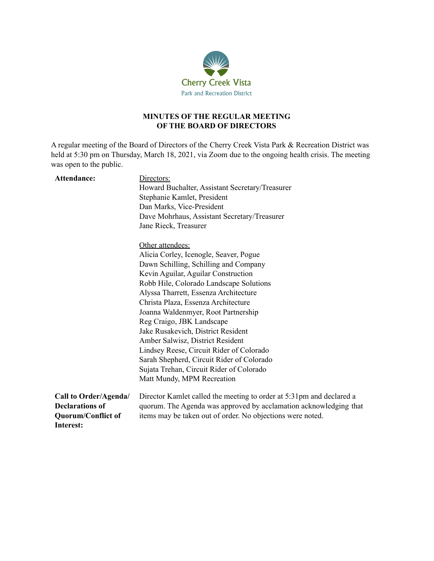

## **MINUTES OF THE REGULAR MEETING OF THE BOARD OF DIRECTORS**

A regular meeting of the Board of Directors of the Cherry Creek Vista Park & Recreation District was held at 5:30 pm on Thursday, March 18, 2021, via Zoom due to the ongoing health crisis. The meeting was open to the public.

| Attendance:                     | Directors:<br>Howard Buchalter, Assistant Secretary/Treasurer        |
|---------------------------------|----------------------------------------------------------------------|
|                                 | Stephanie Kamlet, President                                          |
|                                 | Dan Marks, Vice-President                                            |
|                                 | Dave Mohrhaus, Assistant Secretary/Treasurer                         |
|                                 | Jane Rieck, Treasurer                                                |
|                                 | Other attendees:                                                     |
|                                 | Alicia Corley, Icenogle, Seaver, Pogue                               |
|                                 | Dawn Schilling, Schilling and Company                                |
|                                 | Kevin Aguilar, Aguilar Construction                                  |
|                                 | Robb Hile, Colorado Landscape Solutions                              |
|                                 | Alyssa Tharrett, Essenza Architecture                                |
|                                 | Christa Plaza, Essenza Architecture                                  |
|                                 | Joanna Waldenmyer, Root Partnership                                  |
|                                 | Reg Craigo, JBK Landscape                                            |
|                                 | Jake Rusakevich, District Resident                                   |
|                                 | Amber Salwisz, District Resident                                     |
|                                 | Lindsey Reese, Circuit Rider of Colorado                             |
|                                 | Sarah Shepherd, Circuit Rider of Colorado                            |
|                                 | Sujata Trehan, Circuit Rider of Colorado                             |
|                                 | Matt Mundy, MPM Recreation                                           |
| Call to Order/Agenda/           | Director Kamlet called the meeting to order at 5:31pm and declared a |
| <b>Declarations of</b>          | quorum. The Agenda was approved by acclamation acknowledging that    |
| Quorum/Conflict of<br>Interest: | items may be taken out of order. No objections were noted.           |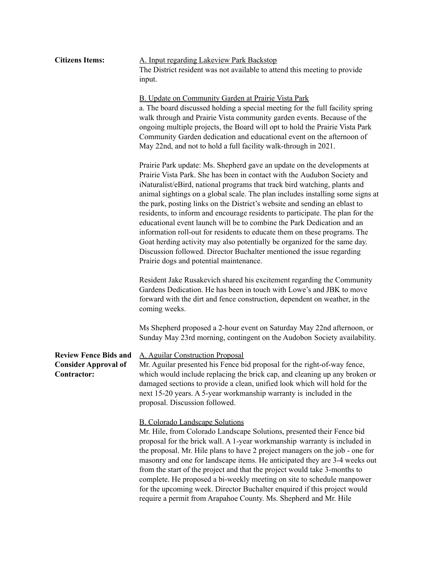| <b>Citizens Items:</b>                                                     | A. Input regarding Lakeview Park Backstop<br>The District resident was not available to attend this meeting to provide<br>input.                                                                                                                                                                                                                                                                                                                                                                                                                                                                                                                                                                                                                                                                                                          |
|----------------------------------------------------------------------------|-------------------------------------------------------------------------------------------------------------------------------------------------------------------------------------------------------------------------------------------------------------------------------------------------------------------------------------------------------------------------------------------------------------------------------------------------------------------------------------------------------------------------------------------------------------------------------------------------------------------------------------------------------------------------------------------------------------------------------------------------------------------------------------------------------------------------------------------|
|                                                                            | B. Update on Community Garden at Prairie Vista Park<br>a. The board discussed holding a special meeting for the full facility spring<br>walk through and Prairie Vista community garden events. Because of the<br>ongoing multiple projects, the Board will opt to hold the Prairie Vista Park<br>Community Garden dedication and educational event on the afternoon of<br>May 22nd, and not to hold a full facility walk-through in 2021.                                                                                                                                                                                                                                                                                                                                                                                                |
|                                                                            | Prairie Park update: Ms. Shepherd gave an update on the developments at<br>Prairie Vista Park. She has been in contact with the Audubon Society and<br>iNaturalist/eBird, national programs that track bird watching, plants and<br>animal sightings on a global scale. The plan includes installing some signs at<br>the park, posting links on the District's website and sending an eblast to<br>residents, to inform and encourage residents to participate. The plan for the<br>educational event launch will be to combine the Park Dedication and an<br>information roll-out for residents to educate them on these programs. The<br>Goat herding activity may also potentially be organized for the same day.<br>Discussion followed. Director Buchalter mentioned the issue regarding<br>Prairie dogs and potential maintenance. |
|                                                                            | Resident Jake Rusakevich shared his excitement regarding the Community<br>Gardens Dedication. He has been in touch with Lowe's and JBK to move<br>forward with the dirt and fence construction, dependent on weather, in the<br>coming weeks.                                                                                                                                                                                                                                                                                                                                                                                                                                                                                                                                                                                             |
|                                                                            | Ms Shepherd proposed a 2-hour event on Saturday May 22nd afternoon, or<br>Sunday May 23rd morning, contingent on the Audobon Society availability.                                                                                                                                                                                                                                                                                                                                                                                                                                                                                                                                                                                                                                                                                        |
| <b>Review Fence Bids and</b><br><b>Consider Approval of</b><br>Contractor: | A. Aguilar Construction Proposal<br>Mr. Aguilar presented his Fence bid proposal for the right-of-way fence,<br>which would include replacing the brick cap, and cleaning up any broken or<br>damaged sections to provide a clean, unified look which will hold for the<br>next 15-20 years. A 5-year workmanship warranty is included in the<br>proposal. Discussion followed.                                                                                                                                                                                                                                                                                                                                                                                                                                                           |
|                                                                            | <b>B.</b> Colorado Landscape Solutions<br>Mr. Hile, from Colorado Landscape Solutions, presented their Fence bid<br>proposal for the brick wall. A 1-year workmanship warranty is included in<br>the proposal. Mr. Hile plans to have 2 project managers on the job - one for<br>masonry and one for landscape items. He anticipated they are 3-4 weeks out<br>from the start of the project and that the project would take 3-months to<br>complete. He proposed a bi-weekly meeting on site to schedule manpower<br>for the upcoming week. Director Buchalter enquired if this project would<br>require a permit from Arapahoe County. Ms. Shepherd and Mr. Hile                                                                                                                                                                        |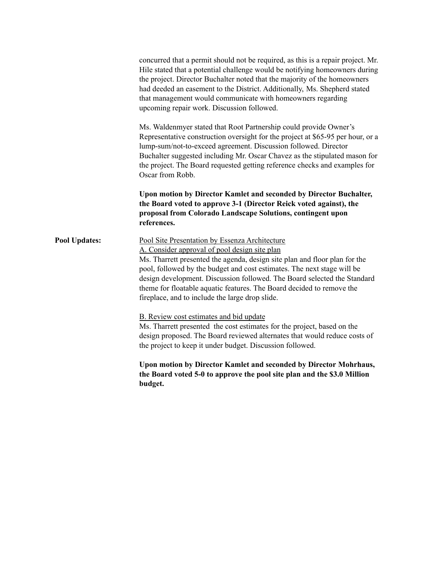|                      | concurred that a permit should not be required, as this is a repair project. Mr.<br>Hile stated that a potential challenge would be notifying homeowners during<br>the project. Director Buchalter noted that the majority of the homeowners<br>had deeded an easement to the District. Additionally, Ms. Shepherd stated<br>that management would communicate with homeowners regarding<br>upcoming repair work. Discussion followed.                           |
|----------------------|------------------------------------------------------------------------------------------------------------------------------------------------------------------------------------------------------------------------------------------------------------------------------------------------------------------------------------------------------------------------------------------------------------------------------------------------------------------|
|                      | Ms. Waldenmyer stated that Root Partnership could provide Owner's<br>Representative construction oversight for the project at \$65-95 per hour, or a<br>lump-sum/not-to-exceed agreement. Discussion followed. Director<br>Buchalter suggested including Mr. Oscar Chavez as the stipulated mason for<br>the project. The Board requested getting reference checks and examples for<br>Oscar from Robb.                                                          |
|                      | Upon motion by Director Kamlet and seconded by Director Buchalter,<br>the Board voted to approve 3-1 (Director Reick voted against), the<br>proposal from Colorado Landscape Solutions, contingent upon<br>references.                                                                                                                                                                                                                                           |
| <b>Pool Updates:</b> | Pool Site Presentation by Essenza Architecture<br>A. Consider approval of pool design site plan<br>Ms. Tharrett presented the agenda, design site plan and floor plan for the<br>pool, followed by the budget and cost estimates. The next stage will be<br>design development. Discussion followed. The Board selected the Standard<br>theme for floatable aquatic features. The Board decided to remove the<br>fireplace, and to include the large drop slide. |
|                      | B. Review cost estimates and bid update<br>Ms. Tharrett presented the cost estimates for the project, based on the<br>design proposed. The Board reviewed alternates that would reduce costs of<br>the project to keep it under budget. Discussion followed.                                                                                                                                                                                                     |
|                      | Upon motion by Director Kamlet and seconded by Director Mohrhaus,<br>the Board voted 5-0 to approve the pool site plan and the \$3.0 Million<br>budget.                                                                                                                                                                                                                                                                                                          |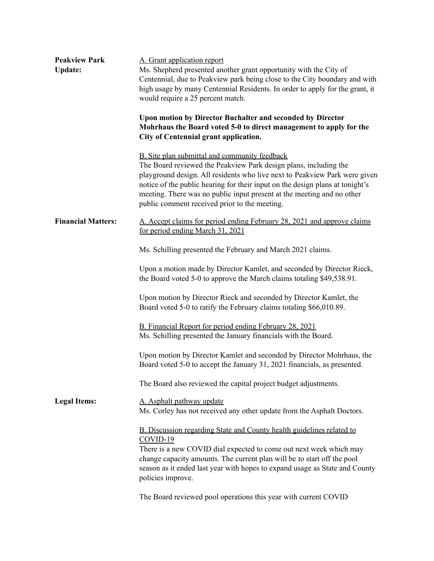| <b>Peakview Park</b><br><b>Update:</b> | A. Grant application report<br>Ms. Shepherd presented another grant opportunity with the City of<br>Centennial, due to Peakview park being close to the City boundary and with<br>high usage by many Centennial Residents. In order to apply for the grant, it<br>would require a 25 percent match.                                                                                                         |
|----------------------------------------|-------------------------------------------------------------------------------------------------------------------------------------------------------------------------------------------------------------------------------------------------------------------------------------------------------------------------------------------------------------------------------------------------------------|
|                                        | Upon motion by Director Buchalter and seconded by Director<br>Mohrhaus the Board voted 5-0 to direct management to apply for the<br>City of Centennial grant application.                                                                                                                                                                                                                                   |
|                                        | B. Site plan submittal and community feedback<br>The Board reviewed the Peakview Park design plans, including the<br>playground design. All residents who live next to Peakview Park were given<br>notice of the public hearing for their input on the design plans at tonight's<br>meeting. There was no public input present at the meeting and no other<br>public comment received prior to the meeting. |
| <b>Financial Matters:</b>              | A. Accept claims for period ending February 28, 2021 and approve claims<br>for period ending March 31, 2021                                                                                                                                                                                                                                                                                                 |
|                                        | Ms. Schilling presented the February and March 2021 claims.                                                                                                                                                                                                                                                                                                                                                 |
|                                        | Upon a motion made by Director Kamlet, and seconded by Director Rieck,<br>the Board voted 5-0 to approve the March claims totaling \$49,538.91.                                                                                                                                                                                                                                                             |
|                                        | Upon motion by Director Rieck and seconded by Director Kamlet, the<br>Board voted 5-0 to ratify the February claims totaling \$66,010.89.                                                                                                                                                                                                                                                                   |
|                                        | B. Financial Report for period ending February 28, 2021<br>Ms. Schilling presented the January financials with the Board.                                                                                                                                                                                                                                                                                   |
|                                        | Upon motion by Director Kamlet and seconded by Director Mohrhaus, the<br>Board voted 5-0 to accept the January 31, 2021 financials, as presented.                                                                                                                                                                                                                                                           |
|                                        | The Board also reviewed the capital project budget adjustments.                                                                                                                                                                                                                                                                                                                                             |
| <b>Legal Items:</b>                    | A. Asphalt pathway update<br>Ms. Corley has not received any other update from the Asphalt Doctors.                                                                                                                                                                                                                                                                                                         |
|                                        | <b>B.</b> Discussion regarding State and County health guidelines related to<br>COVID-19<br>There is a new COVID dial expected to come out next week which may<br>change capacity amounts. The current plan will be to start off the pool<br>season as it ended last year with hopes to expand usage as State and County<br>policies improve.                                                               |
|                                        | The Board reviewed pool operations this year with current COVID                                                                                                                                                                                                                                                                                                                                             |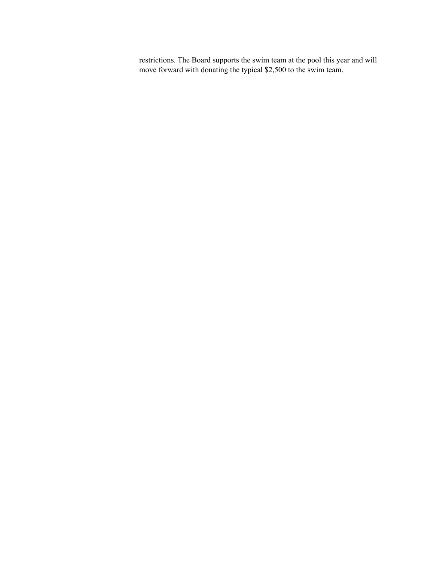restrictions. The Board supports the swim team at the pool this year and will move forward with donating the typical \$2,500 to the swim team.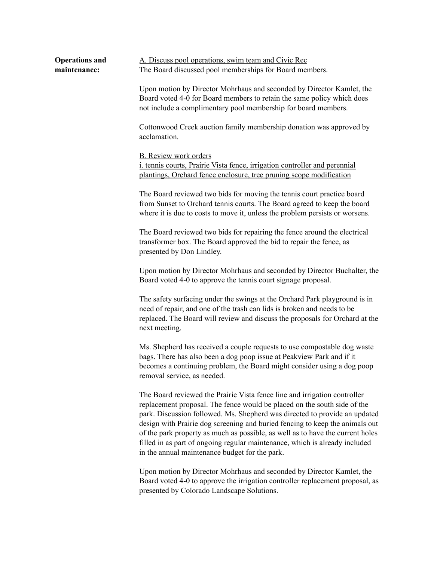| <b>Operations and</b> | A. Discuss pool operations, swim team and Civic Rec                                                                                                                                                                                                                                                                                                                                                                                                                                                                                    |
|-----------------------|----------------------------------------------------------------------------------------------------------------------------------------------------------------------------------------------------------------------------------------------------------------------------------------------------------------------------------------------------------------------------------------------------------------------------------------------------------------------------------------------------------------------------------------|
| maintenance:          | The Board discussed pool memberships for Board members.                                                                                                                                                                                                                                                                                                                                                                                                                                                                                |
|                       | Upon motion by Director Mohrhaus and seconded by Director Kamlet, the<br>Board voted 4-0 for Board members to retain the same policy which does<br>not include a complimentary pool membership for board members.                                                                                                                                                                                                                                                                                                                      |
|                       | Cottonwood Creek auction family membership donation was approved by<br>acclamation.                                                                                                                                                                                                                                                                                                                                                                                                                                                    |
|                       | <b>B.</b> Review work orders<br><i>i. tennis courts, Prairie Vista fence, irrigation controller and perennial</i><br>plantings, Orchard fence enclosure, tree pruning scope modification                                                                                                                                                                                                                                                                                                                                               |
|                       | The Board reviewed two bids for moving the tennis court practice board<br>from Sunset to Orchard tennis courts. The Board agreed to keep the board<br>where it is due to costs to move it, unless the problem persists or worsens.                                                                                                                                                                                                                                                                                                     |
|                       | The Board reviewed two bids for repairing the fence around the electrical<br>transformer box. The Board approved the bid to repair the fence, as<br>presented by Don Lindley.                                                                                                                                                                                                                                                                                                                                                          |
|                       | Upon motion by Director Mohrhaus and seconded by Director Buchalter, the<br>Board voted 4-0 to approve the tennis court signage proposal.                                                                                                                                                                                                                                                                                                                                                                                              |
|                       | The safety surfacing under the swings at the Orchard Park playground is in<br>need of repair, and one of the trash can lids is broken and needs to be<br>replaced. The Board will review and discuss the proposals for Orchard at the<br>next meeting.                                                                                                                                                                                                                                                                                 |
|                       | Ms. Shepherd has received a couple requests to use compostable dog waste<br>bags. There has also been a dog poop issue at Peakview Park and if it<br>becomes a continuing problem, the Board might consider using a dog poop<br>removal service, as needed.                                                                                                                                                                                                                                                                            |
|                       | The Board reviewed the Prairie Vista fence line and irrigation controller<br>replacement proposal. The fence would be placed on the south side of the<br>park. Discussion followed. Ms. Shepherd was directed to provide an updated<br>design with Prairie dog screening and buried fencing to keep the animals out<br>of the park property as much as possible, as well as to have the current holes<br>filled in as part of ongoing regular maintenance, which is already included<br>in the annual maintenance budget for the park. |

Upon motion by Director Mohrhaus and seconded by Director Kamlet, the Board voted 4-0 to approve the irrigation controller replacement proposal, as presented by Colorado Landscape Solutions.